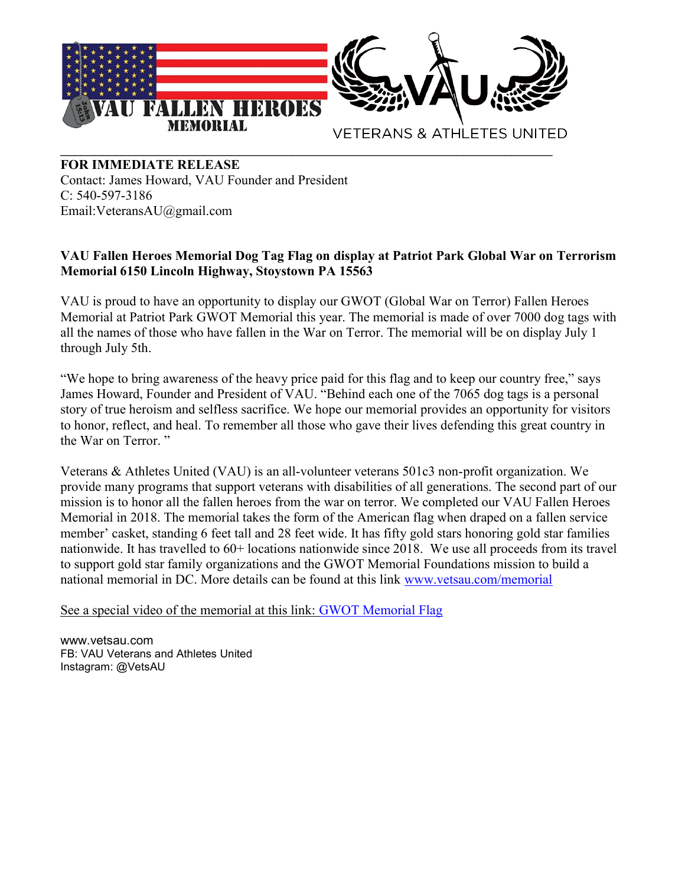

## FOR IMMEDIATE RELEASE

Contact: James Howard, VAU Founder and President C: 540-597-3186 Email:VeteransAU@gmail.com

## VAU Fallen Heroes Memorial Dog Tag Flag on display at Patriot Park Global War on Terrorism Memorial 6150 Lincoln Highway, Stoystown PA 15563

VAU is proud to have an opportunity to display our GWOT (Global War on Terror) Fallen Heroes Memorial at Patriot Park GWOT Memorial this year. The memorial is made of over 7000 dog tags with all the names of those who have fallen in the War on Terror. The memorial will be on display July 1 through July 5th.

"We hope to bring awareness of the heavy price paid for this flag and to keep our country free," says James Howard, Founder and President of VAU. "Behind each one of the 7065 dog tags is a personal story of true heroism and selfless sacrifice. We hope our memorial provides an opportunity for visitors to honor, reflect, and heal. To remember all those who gave their lives defending this great country in the War on Terror. "

Veterans & Athletes United (VAU) is an all-volunteer veterans 501c3 non-profit organization. We provide many programs that support veterans with disabilities of all generations. The second part of our mission is to honor all the fallen heroes from the war on terror. We completed our VAU Fallen Heroes Memorial in 2018. The memorial takes the form of the American flag when draped on a fallen service member' casket, standing 6 feet tall and 28 feet wide. It has fifty gold stars honoring gold star families nationwide. It has travelled to 60+ locations nationwide since 2018. We use all proceeds from its travel to support gold star family organizations and the GWOT Memorial Foundations mission to build a national memorial in DC. More details can be found at this link www.vetsau.com/memorial

See a special video of the memorial at this link: GWOT Memorial Flag

www.vetsau.com FB: VAU Veterans and Athletes United Instagram: @VetsAU